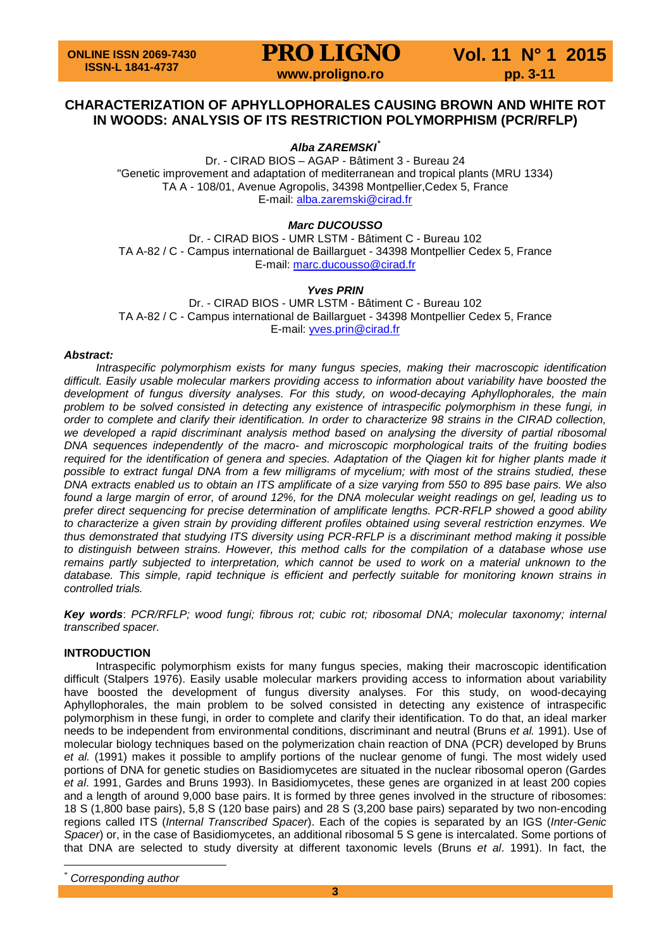## **CHARACTERIZATION OF APHYLLOPHORALES CAUSING BROWN AND WHITE ROT IN WOODS: ANALYSIS OF ITS RESTRICTION POLYMORPHISM (PCR/RFLP)**

*Alba ZAREMSKI[\\*](#page-4-0)*

Dr. - CIRAD BIOS – AGAP - Bâtiment 3 - Bureau 24 "Genetic improvement and adaptation of mediterranean and tropical plants (MRU 1334) TA A - 108/01, Avenue Agropolis, 34398 Montpellier,Cedex 5, France E-mail: [alba.zaremski@cirad.fr](mailto:alba.zaremski@cirad.fr)

*Marc DUCOUSSO*

Dr. - CIRAD BIOS - UMR LSTM - Bâtiment C - Bureau 102 TA A-82 / C - Campus international de Baillarguet - 34398 Montpellier Cedex 5, France E-mail: [marc.ducousso@cirad.fr](mailto:marc.ducousso@cirad.fr)

### *Yves PRIN*

Dr. - CIRAD BIOS - UMR LSTM - Bâtiment C - Bureau 102 TA A-82 / C - Campus international de Baillarguet - 34398 Montpellier Cedex 5, France E-mail: [yves.prin@cirad.fr](mailto:yves.prin@cirad.fr)

### *Abstract:*

*Intraspecific polymorphism exists for many fungus species, making their macroscopic identification difficult. Easily usable molecular markers providing access to information about variability have boosted the development of fungus diversity analyses. For this study, on wood-decaying Aphyllophorales, the main problem to be solved consisted in detecting any existence of intraspecific polymorphism in these fungi, in order to complete and clarify their identification. In order to characterize 98 strains in the CIRAD collection,*  we developed a rapid discriminant analysis method based on analysing the diversity of partial ribosomal *DNA sequences independently of the macro- and microscopic morphological traits of the fruiting bodies required for the identification of genera and species. Adaptation of the Qiagen kit for higher plants made it possible to extract fungal DNA from a few milligrams of mycelium; with most of the strains studied, these DNA extracts enabled us to obtain an ITS amplificate of a size varying from 550 to 895 base pairs. We also found a large margin of error, of around 12%, for the DNA molecular weight readings on gel, leading us to prefer direct sequencing for precise determination of amplificate lengths. PCR-RFLP showed a good ability to characterize a given strain by providing different profiles obtained using several restriction enzymes. We thus demonstrated that studying ITS diversity using PCR-RFLP is a discriminant method making it possible to distinguish between strains. However, this method calls for the compilation of a database whose use remains partly subjected to interpretation, which cannot be used to work on a material unknown to the database. This simple, rapid technique is efficient and perfectly suitable for monitoring known strains in controlled trials.* 

*Key words*: *PCR/RFLP; wood fungi; fibrous rot; cubic rot; ribosomal DNA; molecular taxonomy; internal transcribed spacer.*

### **INTRODUCTION**

Intraspecific polymorphism exists for many fungus species, making their macroscopic identification difficult (Stalpers 1976). Easily usable molecular markers providing access to information about variability have boosted the development of fungus diversity analyses. For this study, on wood-decaying Aphyllophorales, the main problem to be solved consisted in detecting any existence of intraspecific polymorphism in these fungi, in order to complete and clarify their identification. To do that, an ideal marker needs to be independent from environmental conditions, discriminant and neutral (Bruns *et al.* 1991). Use of molecular biology techniques based on the polymerization chain reaction of DNA (PCR) developed by Bruns *et al.* (1991) makes it possible to amplify portions of the nuclear genome of fungi. The most widely used portions of DNA for genetic studies on Basidiomycetes are situated in the nuclear ribosomal operon (Gardes *et al*. 1991, Gardes and Bruns 1993). In Basidiomycetes, these genes are organized in at least 200 copies and a length of around 9,000 base pairs. It is formed by three genes involved in the structure of ribosomes: 18 S (1,800 base pairs), 5,8 S (120 base pairs) and 28 S (3,200 base pairs) separated by two non-encoding regions called ITS (*Internal Transcribed Spacer*). Each of the copies is separated by an IGS (*Inter-Genic Spacer*) or, in the case of Basidiomycetes, an additional ribosomal 5 S gene is intercalated. Some portions of that DNA are selected to study diversity at different taxonomic levels (Bruns *et al*. 1991). In fact, the

 $Corresponding author$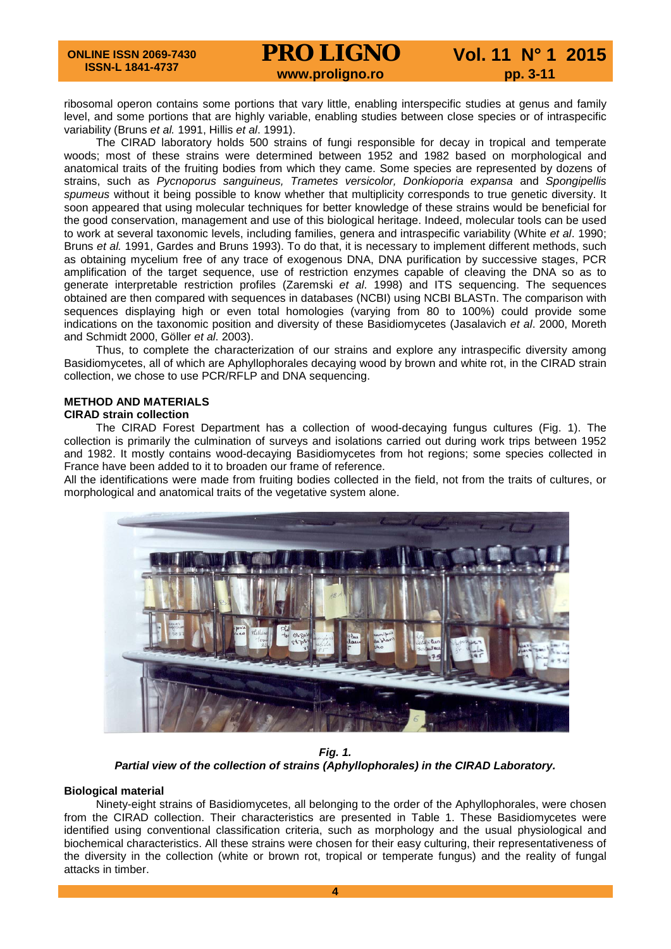# **PRO LIGNO** Vol. 11 N° 1 2015<br>www.proligno.ro pp. 3-11

ribosomal operon contains some portions that vary little, enabling interspecific studies at genus and family level, and some portions that are highly variable, enabling studies between close species or of intraspecific variability (Bruns *et al.* 1991, Hillis *et al*. 1991).

The CIRAD laboratory holds 500 strains of fungi responsible for decay in tropical and temperate woods; most of these strains were determined between 1952 and 1982 based on morphological and anatomical traits of the fruiting bodies from which they came. Some species are represented by dozens of strains, such as *Pycnoporus sanguineus, Trametes versicolor, Donkioporia expansa* and *Spongipellis spumeus* without it being possible to know whether that multiplicity corresponds to true genetic diversity. It soon appeared that using molecular techniques for better knowledge of these strains would be beneficial for the good conservation, management and use of this biological heritage. Indeed, molecular tools can be used to work at several taxonomic levels, including families, genera and intraspecific variability (White *et al*. 1990; Bruns *et al.* 1991, Gardes and Bruns 1993). To do that, it is necessary to implement different methods, such as obtaining mycelium free of any trace of exogenous DNA, DNA purification by successive stages, PCR amplification of the target sequence, use of restriction enzymes capable of cleaving the DNA so as to generate interpretable restriction profiles (Zaremski *et al*. 1998) and ITS sequencing. The sequences obtained are then compared with sequences in databases (NCBI) using NCBI BLASTn. The comparison with sequences displaying high or even total homologies (varying from 80 to 100%) could provide some indications on the taxonomic position and diversity of these Basidiomycetes (Jasalavich *et al*. 2000, Moreth and Schmidt 2000, Göller *et al*. 2003).

Thus, to complete the characterization of our strains and explore any intraspecific diversity among Basidiomycetes, all of which are Aphyllophorales decaying wood by brown and white rot, in the CIRAD strain collection, we chose to use PCR/RFLP and DNA sequencing.

### **METHOD AND MATERIALS**

### **CIRAD strain collection**

The CIRAD Forest Department has a collection of wood-decaying fungus cultures (Fig. 1). The collection is primarily the culmination of surveys and isolations carried out during work trips between 1952 and 1982. It mostly contains wood-decaying Basidiomycetes from hot regions; some species collected in France have been added to it to broaden our frame of reference.

All the identifications were made from fruiting bodies collected in the field, not from the traits of cultures, or morphological and anatomical traits of the vegetative system alone.



*Fig. 1. Partial view of the collection of strains (Aphyllophorales) in the CIRAD Laboratory.*

### **Biological material**

Ninety-eight strains of Basidiomycetes, all belonging to the order of the Aphyllophorales, were chosen from the CIRAD collection. Their characteristics are presented in Table 1. These Basidiomycetes were identified using conventional classification criteria, such as morphology and the usual physiological and biochemical characteristics. All these strains were chosen for their easy culturing, their representativeness of the diversity in the collection (white or brown rot, tropical or temperate fungus) and the reality of fungal attacks in timber.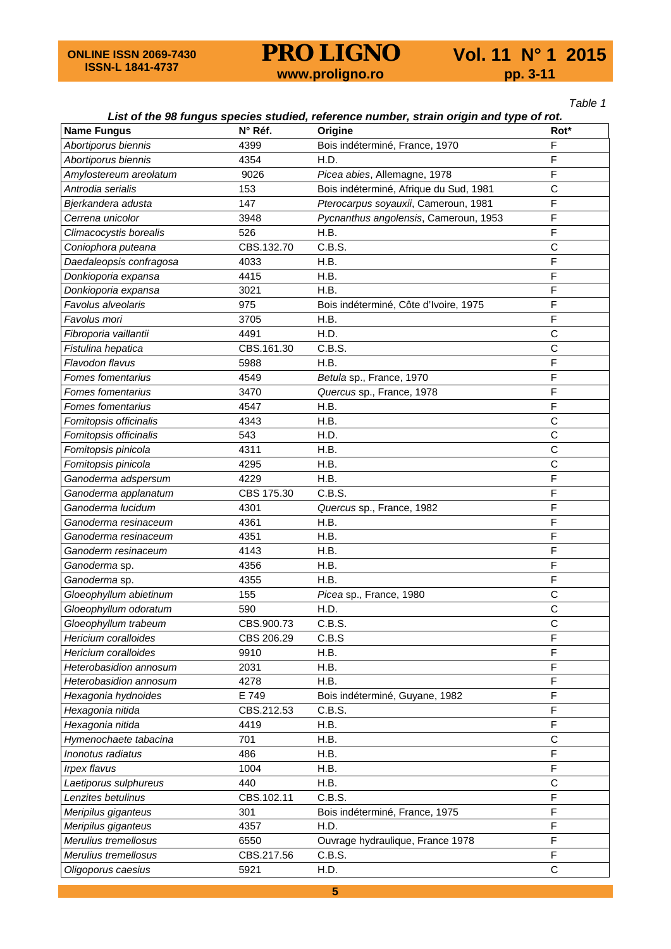**PRO LIGNO** Vol. 11 N° 1 2015<br>www.proligno.ro pp. 3-11

*Table 1*

## *List of the 98 fungus species studied, reference number, strain origin and type of rot.*

| <b>Name Fungus</b>       | N° Réf.    | Origine                                | Rot*         |  |  |  |
|--------------------------|------------|----------------------------------------|--------------|--|--|--|
| Abortiporus biennis      | 4399       | Bois indéterminé, France, 1970         | F            |  |  |  |
| Abortiporus biennis      | 4354       | H.D.                                   | F            |  |  |  |
| Amylostereum areolatum   | 9026       | Picea abies, Allemagne, 1978           | F            |  |  |  |
| Antrodia serialis        | 153        | Bois indéterminé, Afrique du Sud, 1981 | C            |  |  |  |
| Bjerkandera adusta       | 147        | Pterocarpus soyauxii, Cameroun, 1981   | F            |  |  |  |
| Cerrena unicolor         | 3948       | Pycnanthus angolensis, Cameroun, 1953  | F            |  |  |  |
| Climacocystis borealis   | 526        | H.B.                                   | F            |  |  |  |
| Coniophora puteana       | CBS.132.70 | C.B.S.                                 | $\mathsf{C}$ |  |  |  |
| Daedaleopsis confragosa  | 4033       | H.B.                                   | F            |  |  |  |
| Donkioporia expansa      | 4415       | H.B.                                   | F            |  |  |  |
| Donkioporia expansa      | 3021       | H.B.                                   | F            |  |  |  |
| Favolus alveolaris       | 975        | Bois indéterminé, Côte d'Ivoire, 1975  | F            |  |  |  |
| Favolus mori             | 3705       | H.B.                                   | F            |  |  |  |
| Fibroporia vaillantii    | 4491       | H.D.                                   | $\mathsf{C}$ |  |  |  |
| Fistulina hepatica       | CBS.161.30 | C.B.S.                                 | C            |  |  |  |
| Flavodon flavus          | 5988       | H.B.                                   | F            |  |  |  |
| Fomes fomentarius        | 4549       | Betula sp., France, 1970               | F            |  |  |  |
| Fomes fomentarius        | 3470       | Quercus sp., France, 1978              | F            |  |  |  |
| <b>Fomes fomentarius</b> | 4547       | H.B.                                   | F            |  |  |  |
| Fomitopsis officinalis   | 4343       | H.B.                                   | $\mathsf C$  |  |  |  |
| Fomitopsis officinalis   | 543        | H.D.                                   | $\mathsf{C}$ |  |  |  |
| Fomitopsis pinicola      | 4311       | H.B.                                   | $\mathsf C$  |  |  |  |
| Fomitopsis pinicola      | 4295       | H.B.                                   | C            |  |  |  |
| Ganoderma adspersum      | 4229       | H.B.                                   | F            |  |  |  |
| Ganoderma applanatum     | CBS 175.30 | C.B.S.                                 | F            |  |  |  |
| Ganoderma lucidum        | 4301       | Quercus sp., France, 1982              | F            |  |  |  |
| Ganoderma resinaceum     | 4361       | H.B.                                   | F            |  |  |  |
| Ganoderma resinaceum     | 4351       | H.B.                                   | F            |  |  |  |
| Ganoderm resinaceum      | 4143       | H.B.                                   | F            |  |  |  |
| Ganoderma sp.            | 4356       | H.B.                                   | F            |  |  |  |
| Ganoderma sp.            | 4355       | H.B.                                   | F            |  |  |  |
| Gloeophyllum abietinum   | 155        | Picea sp., France, 1980                | C            |  |  |  |
| Gloeophyllum odoratum    | 590        | H.D.                                   | $\mathsf{C}$ |  |  |  |
| Gloeophyllum trabeum     | CBS.900.73 | C.B.S.                                 | $\mathsf{C}$ |  |  |  |
| Hericium coralloides     | CBS 206.29 | C.B.S                                  | F            |  |  |  |
| Hericium coralloides     | 9910       | H.B.                                   | F            |  |  |  |
| Heterobasidion annosum   | 2031       | H.B.                                   | F            |  |  |  |
| Heterobasidion annosum   | 4278       | H.B.                                   | F            |  |  |  |
| Hexagonia hydnoides      | E 749      | Bois indéterminé, Guyane, 1982         | F            |  |  |  |
| Hexagonia nitida         | CBS.212.53 | C.B.S.                                 | F            |  |  |  |
| Hexagonia nitida         | 4419       | H.B.                                   | F            |  |  |  |
| Hymenochaete tabacina    | 701        | H.B.                                   | C            |  |  |  |
| Inonotus radiatus        | 486        | H.B.                                   | F            |  |  |  |
| Irpex flavus             | 1004       | H.B.                                   | F            |  |  |  |
| Laetiporus sulphureus    | 440        | H.B.                                   | C            |  |  |  |
| Lenzites betulinus       | CBS.102.11 | C.B.S.                                 | F            |  |  |  |
| Meripilus giganteus      | 301        | Bois indéterminé, France, 1975         | F            |  |  |  |
| Meripilus giganteus      | 4357       | H.D.                                   | F            |  |  |  |
| Merulius tremellosus     | 6550       | Ouvrage hydraulique, France 1978       | F            |  |  |  |
| Merulius tremellosus     | CBS.217.56 | C.B.S.                                 | F            |  |  |  |
| Oligoporus caesius       | 5921       | C<br>H.D.                              |              |  |  |  |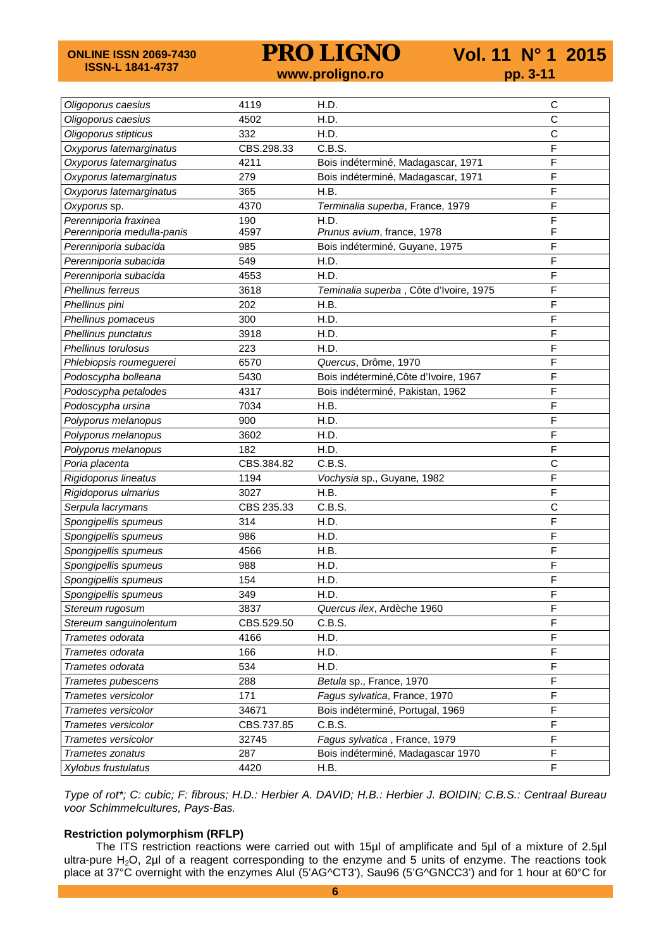**ONLINE ISSN 2069-7430 ISSN-L 1841-4737**

**PRO LIGNO** Vol. 11 N° 1 2015<br>www.proligno.ro pp. 3-11

| Oligoporus caesius         | 4119       | H.D.                                   | $\mathsf C$  |  |  |  |  |
|----------------------------|------------|----------------------------------------|--------------|--|--|--|--|
| Oligoporus caesius         | 4502       | H.D.                                   | $\mathsf{C}$ |  |  |  |  |
| Oligoporus stipticus       | 332        | H.D.                                   | C            |  |  |  |  |
| Oxyporus latemarginatus    | CBS.298.33 | C.B.S.                                 | F            |  |  |  |  |
| Oxyporus latemarginatus    | 4211       | Bois indéterminé, Madagascar, 1971     | F            |  |  |  |  |
| Oxyporus latemarginatus    | 279        | Bois indéterminé, Madagascar, 1971     | F            |  |  |  |  |
| Oxyporus latemarginatus    | 365        | H.B.                                   | F            |  |  |  |  |
| Oxyporus sp.               | 4370       | Terminalia superba, France, 1979       | F            |  |  |  |  |
| Perenniporia fraxinea      | 190        | H.D.                                   | F            |  |  |  |  |
| Perenniporia medulla-panis | 4597       | Prunus avium, france, 1978             | F            |  |  |  |  |
| Perenniporia subacida      | 985        | Bois indéterminé, Guyane, 1975         | F            |  |  |  |  |
| Perenniporia subacida      | 549        | H.D.                                   | F            |  |  |  |  |
| Perenniporia subacida      | 4553       | H.D.                                   | F            |  |  |  |  |
| Phellinus ferreus          | 3618       | Teminalia superba, Côte d'Ivoire, 1975 | $\mathsf F$  |  |  |  |  |
| Phellinus pini             | 202        | H.B.                                   | F            |  |  |  |  |
| Phellinus pomaceus         | 300        | H.D.                                   | F            |  |  |  |  |
| Phellinus punctatus        | 3918       | H.D.                                   | F            |  |  |  |  |
| Phellinus torulosus        | 223        | H.D.                                   | F            |  |  |  |  |
| Phlebiopsis roumeguerei    | 6570       | Quercus, Drôme, 1970                   | F            |  |  |  |  |
| Podoscypha bolleana        | 5430       | Bois indéterminé, Côte d'Ivoire, 1967  | F            |  |  |  |  |
| Podoscypha petalodes       | 4317       | Bois indéterminé, Pakistan, 1962       | F            |  |  |  |  |
| Podoscypha ursina          | 7034       | H.B.                                   | F            |  |  |  |  |
| Polyporus melanopus        | 900        | H.D.                                   | F            |  |  |  |  |
| Polyporus melanopus        | 3602       | H.D.                                   | F            |  |  |  |  |
| Polyporus melanopus        | 182        | H.D.                                   | F            |  |  |  |  |
| Poria placenta             | CBS.384.82 | C.B.S.                                 | C            |  |  |  |  |
| Rigidoporus lineatus       | 1194       | Vochysia sp., Guyane, 1982             | F            |  |  |  |  |
| Rigidoporus ulmarius       | 3027       | H.B.                                   | F            |  |  |  |  |
| Serpula lacrymans          | CBS 235.33 | C.B.S.                                 | $\mathsf{C}$ |  |  |  |  |
| Spongipellis spumeus       | 314        | H.D.                                   | F            |  |  |  |  |
| Spongipellis spumeus       | 986        | H.D.                                   | F            |  |  |  |  |
| Spongipellis spumeus       | 4566       | H.B.                                   | F            |  |  |  |  |
| Spongipellis spumeus       | 988        | H.D.                                   | F            |  |  |  |  |
| Spongipellis spumeus       | 154        | H.D.                                   | F            |  |  |  |  |
| Spongipellis spumeus       | 349        | H.D.                                   | F            |  |  |  |  |
| Stereum rugosum            | 3837       | Quercus ilex, Ardèche 1960             | F            |  |  |  |  |
| Stereum sanguinolentum     | CBS.529.50 | C.B.S.                                 | F            |  |  |  |  |
| Trametes odorata           | 4166       | H.D.                                   | F            |  |  |  |  |
| Trametes odorata           | 166        | H.D.                                   | $\mathsf F$  |  |  |  |  |
| Trametes odorata           | 534        | H.D.                                   | $\mathsf F$  |  |  |  |  |
| Trametes pubescens         | 288        | Betula sp., France, 1970               | F            |  |  |  |  |
| Trametes versicolor        | 171        | Fagus sylvatica, France, 1970          | F            |  |  |  |  |
| Trametes versicolor        | 34671      | Bois indéterminé, Portugal, 1969       | F            |  |  |  |  |
| Trametes versicolor        | CBS.737.85 | F<br>C.B.S.                            |              |  |  |  |  |
| Trametes versicolor        | 32745      | F<br>Fagus sylvatica, France, 1979     |              |  |  |  |  |
| Trametes zonatus           | 287        | Bois indéterminé, Madagascar 1970      | $\mathsf F$  |  |  |  |  |
| Xylobus frustulatus        | 4420       | $\mathsf F$<br>H.B.                    |              |  |  |  |  |

*Type of rot\*; C: cubic; F: fibrous; H.D.: Herbier A. DAVID; H.B.: Herbier J. BOIDIN; C.B.S.: Centraal Bureau voor Schimmelcultures, Pays-Bas.*

### **Restriction polymorphism (RFLP)**

The ITS restriction reactions were carried out with 15µl of amplificate and 5µl of a mixture of 2.5µl ultra-pure H<sub>2</sub>O, 2µl of a reagent corresponding to the enzyme and 5 units of enzyme. The reactions took place at 37°C overnight with the enzymes AluI (5'AG^CT3'), Sau96 (5'G^GNCC3') and for 1 hour at 60°C for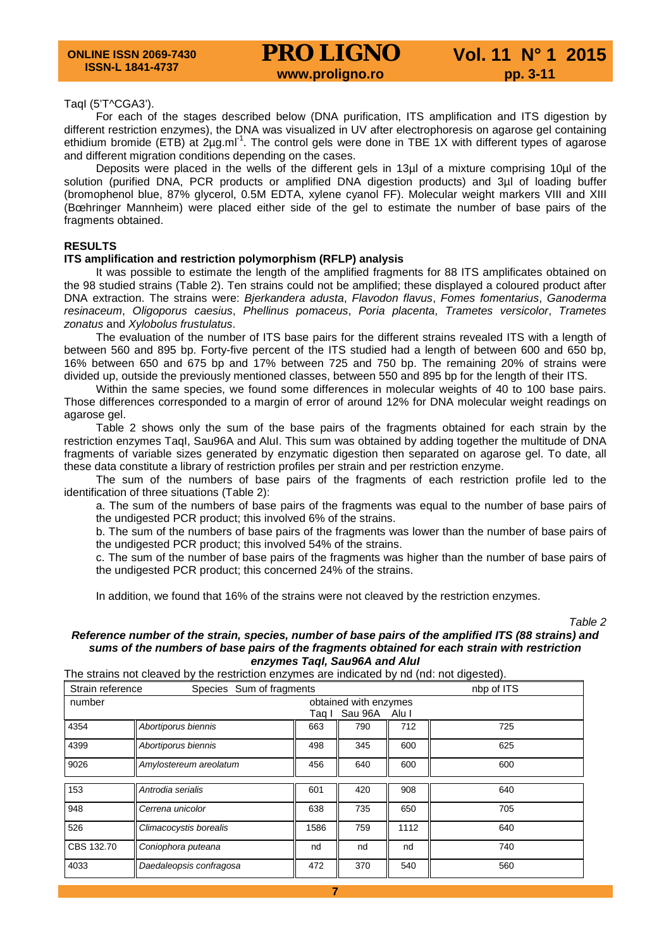#### TaqI (5'T^CGA3').

For each of the stages described below (DNA purification, ITS amplification and ITS digestion by different restriction enzymes), the DNA was visualized in UV after electrophoresis on agarose gel containing ethidium bromide (ETB) at 2µg.ml<sup>-1</sup>. The control gels were done in TBE 1X with different types of agarose and different migration conditions depending on the cases.

Deposits were placed in the wells of the different gels in 13µl of a mixture comprising 10µl of the solution (purified DNA, PCR products or amplified DNA digestion products) and 3µl of loading buffer (bromophenol blue, 87% glycerol, 0.5M EDTA, xylene cyanol FF). Molecular weight markers VIII and XIII (Bœhringer Mannheim) were placed either side of the gel to estimate the number of base pairs of the fragments obtained.

#### **RESULTS**

#### **ITS amplification and restriction polymorphism (RFLP) analysis**

It was possible to estimate the length of the amplified fragments for 88 ITS amplificates obtained on the 98 studied strains (Table 2). Ten strains could not be amplified; these displayed a coloured product after DNA extraction. The strains were: *Bjerkandera adusta*, *Flavodon flavus*, *Fomes fomentarius*, *Ganoderma resinaceum*, *Oligoporus caesius*, *Phellinus pomaceus*, *Poria placenta*, *Trametes versicolor*, *Trametes zonatus* and *Xylobolus frustulatus*.

The evaluation of the number of ITS base pairs for the different strains revealed ITS with a length of between 560 and 895 bp. Forty-five percent of the ITS studied had a length of between 600 and 650 bp, 16% between 650 and 675 bp and 17% between 725 and 750 bp. The remaining 20% of strains were divided up, outside the previously mentioned classes, between 550 and 895 bp for the length of their ITS.

Within the same species, we found some differences in molecular weights of 40 to 100 base pairs. Those differences corresponded to a margin of error of around 12% for DNA molecular weight readings on agarose gel.

Table 2 shows only the sum of the base pairs of the fragments obtained for each strain by the restriction enzymes TaqI, Sau96A and AluI. This sum was obtained by adding together the multitude of DNA fragments of variable sizes generated by enzymatic digestion then separated on agarose gel. To date, all these data constitute a library of restriction profiles per strain and per restriction enzyme.

The sum of the numbers of base pairs of the fragments of each restriction profile led to the identification of three situations (Table 2):

a. The sum of the numbers of base pairs of the fragments was equal to the number of base pairs of the undigested PCR product; this involved 6% of the strains.

b. The sum of the numbers of base pairs of the fragments was lower than the number of base pairs of the undigested PCR product; this involved 54% of the strains.

c. The sum of the number of base pairs of the fragments was higher than the number of base pairs of the undigested PCR product; this concerned 24% of the strains.

In addition, we found that 16% of the strains were not cleaved by the restriction enzymes.

#### *Table 2 Reference number of the strain, species, number of base pairs of the amplified ITS (88 strains) and sums of the numbers of base pairs of the fragments obtained for each strain with restriction enzymes TaqI, Sau96A and AluI*

### The strains not cleaved by the restriction enzymes are indicated by nd (nd: not digested).

<span id="page-4-0"></span>

| Strain reference<br>Species Sum of fragments |                         |       |                       |       | nbp of ITS |
|----------------------------------------------|-------------------------|-------|-----------------------|-------|------------|
| number                                       |                         |       | obtained with enzymes |       |            |
|                                              |                         | Taq I | Sau 96A               | Alu I |            |
| 4354                                         | Abortiporus biennis     | 663   | 790                   | 712   | 725        |
| 4399                                         | Abortiporus biennis     | 498   | 345                   | 600   | 625        |
| 9026                                         | Amylostereum areolatum  | 456   | 640                   | 600   | 600        |
| 153                                          | Antrodia serialis       | 601   | 420                   | 908   | 640        |
| 948                                          | Cerrena unicolor        | 638   | 735                   | 650   | 705        |
| 526                                          | Climacocystis borealis  | 1586  | 759                   | 1112  | 640        |
| CBS 132.70                                   | Coniophora puteana      | nd    | nd                    | nd    | 740        |
| 4033                                         | Daedaleopsis confragosa | 472   | 370                   | 540   | 560        |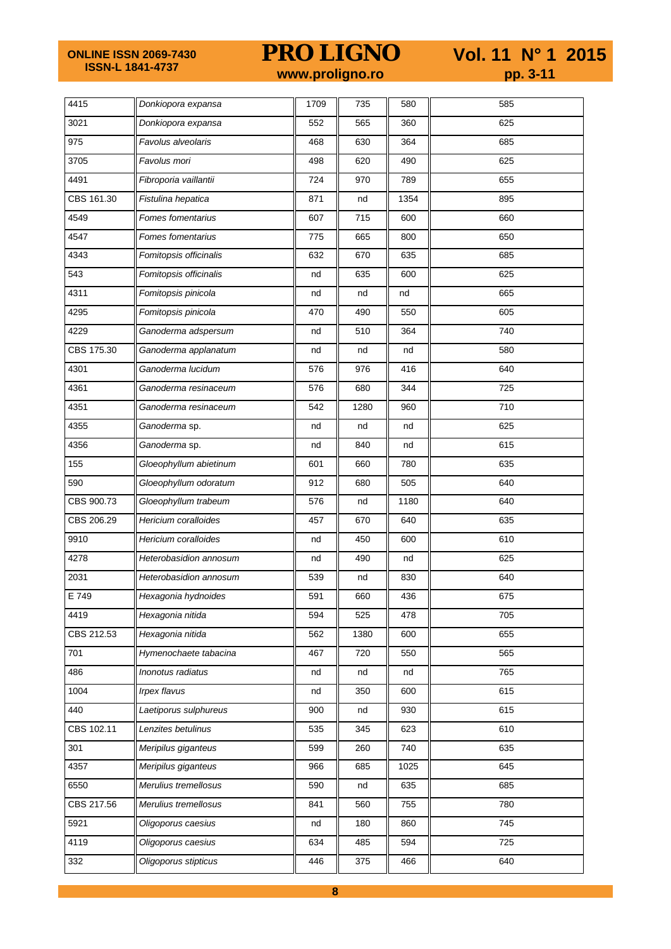**ONLINE ISSN 2069-7430 ISSN-L 1841-4737**

**PRO LIGNO** Vol. 11 N° 1 2015<br>www.proligno.ro pp. 3-11

| 4415       | Donkiopora expansa     | 1709 | 735  | 580  | 585 |
|------------|------------------------|------|------|------|-----|
| 3021       | Donkiopora expansa     | 552  | 565  | 360  | 625 |
| 975        | Favolus alveolaris     | 468  | 630  | 364  | 685 |
| 3705       | Favolus mori           | 498  | 620  | 490  | 625 |
| 4491       | Fibroporia vaillantii  | 724  | 970  | 789  | 655 |
| CBS 161.30 | Fistulina hepatica     | 871  | nd   | 1354 | 895 |
| 4549       | Fomes fomentarius      | 607  | 715  | 600  | 660 |
| 4547       | Fomes fomentarius      | 775  | 665  | 800  | 650 |
| 4343       | Fomitopsis officinalis | 632  | 670  | 635  | 685 |
| 543        | Fomitopsis officinalis | nd   | 635  | 600  | 625 |
| 4311       | Fomitopsis pinicola    | nd   | nd   | nd   | 665 |
| 4295       | Fomitopsis pinicola    | 470  | 490  | 550  | 605 |
| 4229       | Ganoderma adspersum    | nd   | 510  | 364  | 740 |
| CBS 175.30 | Ganoderma applanatum   | nd   | nd   | nd   | 580 |
| 4301       | Ganoderma lucidum      | 576  | 976  | 416  | 640 |
| 4361       | Ganoderma resinaceum   | 576  | 680  | 344  | 725 |
| 4351       | Ganoderma resinaceum   | 542  | 1280 | 960  | 710 |
| 4355       | Ganoderma sp.          | nd   | nd   | nd   | 625 |
| 4356       | Ganoderma sp.          | nd   | 840  | nd   | 615 |
| 155        | Gloeophyllum abietinum | 601  | 660  | 780  | 635 |
| 590        | Gloeophyllum odoratum  | 912  | 680  | 505  | 640 |
| CBS 900.73 | Gloeophyllum trabeum   | 576  | nd   | 1180 | 640 |
| CBS 206.29 | Hericium coralloides   | 457  | 670  | 640  | 635 |
| 9910       | Hericium coralloides   | nd   | 450  | 600  | 610 |
| 4278       | Heterobasidion annosum | nd   | 490  | nd   | 625 |
| 2031       | Heterobasidion annosum | 539  | nd   | 830  | 640 |
| E 749      | Hexagonia hydnoides    | 591  | 660  | 436  | 675 |
| 4419       | Hexagonia nitida       | 594  | 525  | 478  | 705 |
| CBS 212.53 | Hexagonia nitida       | 562  | 1380 | 600  | 655 |
| 701        | Hymenochaete tabacina  | 467  | 720  | 550  | 565 |
| 486        | Inonotus radiatus      | nd   | nd   | nd   | 765 |
| 1004       | <b>Irpex flavus</b>    | nd   | 350  | 600  | 615 |
| 440        | Laetiporus sulphureus  | 900  | nd   | 930  | 615 |
| CBS 102.11 | Lenzites betulinus     | 535  | 345  | 623  | 610 |
| 301        | Meripilus giganteus    | 599  | 260  | 740  | 635 |
| 4357       | Meripilus giganteus    | 966  | 685  | 1025 | 645 |
| 6550       | Merulius tremellosus   | 590  | nd   | 635  | 685 |
| CBS 217.56 | Merulius tremellosus   | 841  | 560  | 755  | 780 |
| 5921       | Oligoporus caesius     | nd   | 180  | 860  | 745 |
| 4119       | Oligoporus caesius     | 634  | 485  | 594  | 725 |
| 332        | Oligoporus stipticus   | 446  | 375  | 466  | 640 |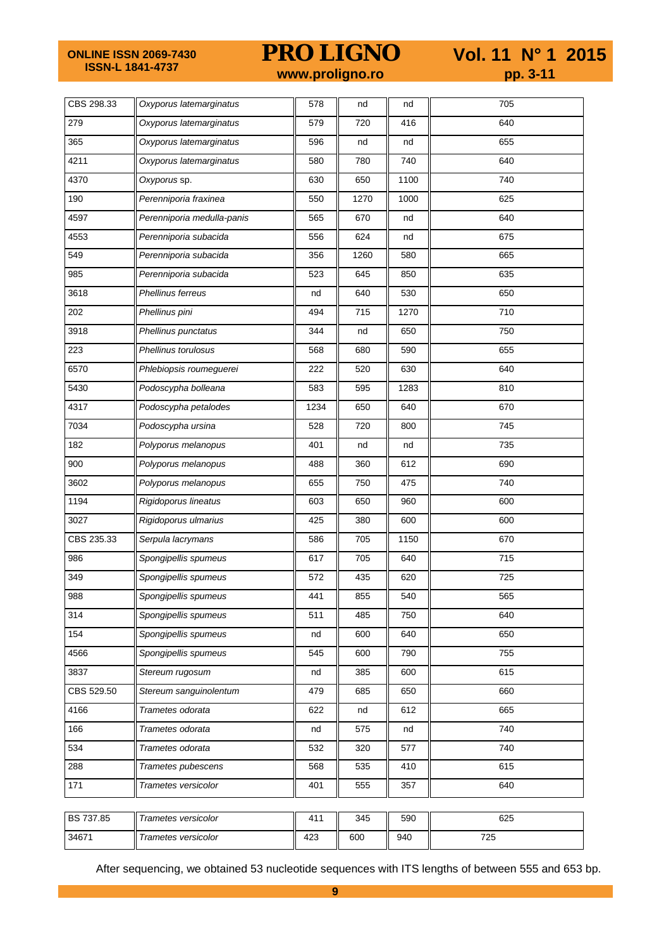**ONLINE ISSN 2069-7430 ISSN-L 1841-4737**

**PRO LIGNO** Vol. 11 N° 1 2015<br>www.proligno.ro pp. 3-11

| CBS 298.33 | Oxyporus latemarginatus    | 578  | nd   | nd   | 705 |
|------------|----------------------------|------|------|------|-----|
| 279        | Oxyporus latemarginatus    | 579  | 720  | 416  | 640 |
| 365        | Oxyporus latemarginatus    | 596  | nd   | nd   | 655 |
| 4211       | Oxyporus latemarginatus    | 580  | 780  | 740  | 640 |
| 4370       | Oxyporus sp.               | 630  | 650  | 1100 | 740 |
| 190        | Perenniporia fraxinea      | 550  | 1270 | 1000 | 625 |
| 4597       | Perenniporia medulla-panis | 565  | 670  | nd   | 640 |
| 4553       | Perenniporia subacida      | 556  | 624  | nd   | 675 |
| 549        | Perenniporia subacida      | 356  | 1260 | 580  | 665 |
| 985        | Perenniporia subacida      | 523  | 645  | 850  | 635 |
| 3618       | Phellinus ferreus          | nd   | 640  | 530  | 650 |
| 202        | Phellinus pini             | 494  | 715  | 1270 | 710 |
| 3918       | Phellinus punctatus        | 344  | nd   | 650  | 750 |
| 223        | Phellinus torulosus        | 568  | 680  | 590  | 655 |
| 6570       | Phlebiopsis roumeguerei    | 222  | 520  | 630  | 640 |
| 5430       | Podoscypha bolleana        | 583  | 595  | 1283 | 810 |
| 4317       | Podoscypha petalodes       | 1234 | 650  | 640  | 670 |
| 7034       | Podoscypha ursina          | 528  | 720  | 800  | 745 |
| 182        | Polyporus melanopus        | 401  | nd   | nd   | 735 |
| 900        | Polyporus melanopus        | 488  | 360  | 612  | 690 |
| 3602       | Polyporus melanopus        | 655  | 750  | 475  | 740 |
| 1194       | Rigidoporus lineatus       | 603  | 650  | 960  | 600 |
| 3027       | Rigidoporus ulmarius       | 425  | 380  | 600  | 600 |
| CBS 235.33 | Serpula lacrymans          | 586  | 705  | 1150 | 670 |
| 986        | Spongipellis spumeus       | 617  | 705  | 640  | 715 |
| 349        | Spongipellis spumeus       | 572  | 435  | 620  | 725 |
| 988        | Spongipellis spumeus       | 441  | 855  | 540  | 565 |
| 314        | Spongipellis spumeus       | 511  | 485  | 750  | 640 |
| 154        | Spongipellis spumeus       | nd   | 600  | 640  | 650 |
| 4566       | Spongipellis spumeus       | 545  | 600  | 790  | 755 |
| 3837       | Stereum rugosum            | nd   | 385  | 600  | 615 |
| CBS 529.50 | Stereum sanguinolentum     | 479  | 685  | 650  | 660 |
| 4166       | Trametes odorata           | 622  | nd   | 612  | 665 |
| 166        | Trametes odorata           | nd   | 575  | nd   | 740 |
| 534        | Trametes odorata           | 532  | 320  | 577  | 740 |
| 288        | Trametes pubescens         | 568  | 535  | 410  | 615 |
| 171        | Trametes versicolor        | 401  | 555  | 357  | 640 |
|            |                            |      |      |      |     |
| BS 737.85  | Trametes versicolor        | 411  | 345  | 590  | 625 |
| 34671      | Trametes versicolor        | 423  | 600  | 940  | 725 |

After sequencing, we obtained 53 nucleotide sequences with ITS lengths of between 555 and 653 bp.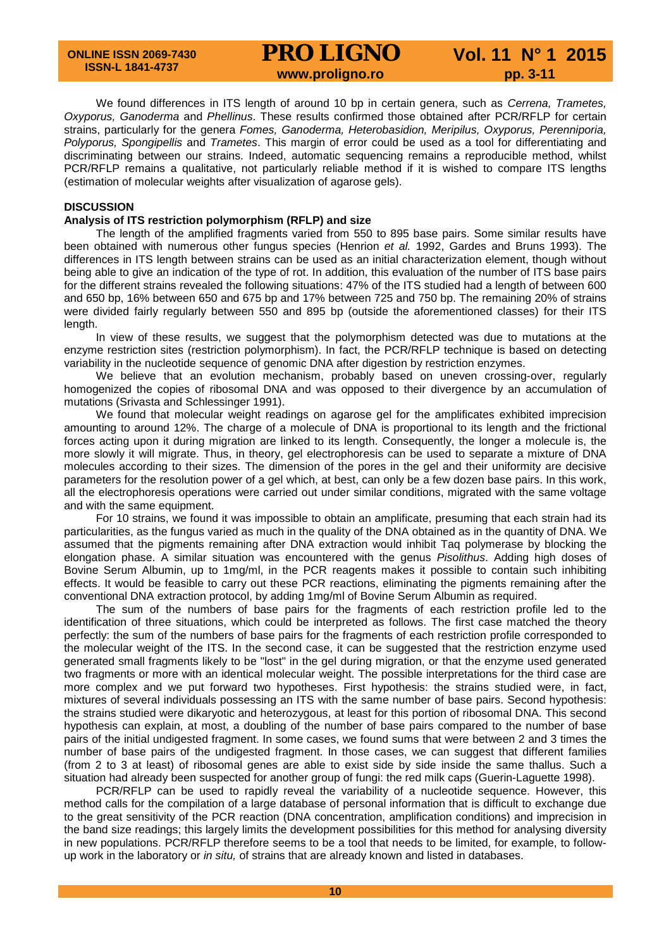# **PRO LIGNO** Vol. 11 N° 1 2015<br>www.proligno.ro pp. 3-11

We found differences in ITS length of around 10 bp in certain genera, such as *Cerrena, Trametes, Oxyporus, Ganoderma* and *Phellinus*. These results confirmed those obtained after PCR/RFLP for certain strains, particularly for the genera *Fomes, Ganoderma, Heterobasidion, Meripilus, Oxyporus, Perenniporia, Polyporus, Spongipellis* and *Trametes*. This margin of error could be used as a tool for differentiating and discriminating between our strains. Indeed, automatic sequencing remains a reproducible method, whilst PCR/RFLP remains a qualitative, not particularly reliable method if it is wished to compare ITS lengths (estimation of molecular weights after visualization of agarose gels).

#### **DISCUSSION**

### **Analysis of ITS restriction polymorphism (RFLP) and size**

The length of the amplified fragments varied from 550 to 895 base pairs. Some similar results have been obtained with numerous other fungus species (Henrion *et al.* 1992, Gardes and Bruns 1993). The differences in ITS length between strains can be used as an initial characterization element, though without being able to give an indication of the type of rot. In addition, this evaluation of the number of ITS base pairs for the different strains revealed the following situations: 47% of the ITS studied had a length of between 600 and 650 bp, 16% between 650 and 675 bp and 17% between 725 and 750 bp. The remaining 20% of strains were divided fairly regularly between 550 and 895 bp (outside the aforementioned classes) for their ITS length.

In view of these results, we suggest that the polymorphism detected was due to mutations at the enzyme restriction sites (restriction polymorphism). In fact, the PCR/RFLP technique is based on detecting variability in the nucleotide sequence of genomic DNA after digestion by restriction enzymes.

We believe that an evolution mechanism, probably based on uneven crossing-over, regularly homogenized the copies of ribosomal DNA and was opposed to their divergence by an accumulation of mutations (Srivasta and Schlessinger 1991).

We found that molecular weight readings on agarose gel for the amplificates exhibited imprecision amounting to around 12%. The charge of a molecule of DNA is proportional to its length and the frictional forces acting upon it during migration are linked to its length. Consequently, the longer a molecule is, the more slowly it will migrate. Thus, in theory, gel electrophoresis can be used to separate a mixture of DNA molecules according to their sizes. The dimension of the pores in the gel and their uniformity are decisive parameters for the resolution power of a gel which, at best, can only be a few dozen base pairs. In this work, all the electrophoresis operations were carried out under similar conditions, migrated with the same voltage and with the same equipment.

For 10 strains, we found it was impossible to obtain an amplificate, presuming that each strain had its particularities, as the fungus varied as much in the quality of the DNA obtained as in the quantity of DNA. We assumed that the pigments remaining after DNA extraction would inhibit Taq polymerase by blocking the elongation phase. A similar situation was encountered with the genus *Pisolithus*. Adding high doses of Bovine Serum Albumin, up to 1mg/ml, in the PCR reagents makes it possible to contain such inhibiting effects. It would be feasible to carry out these PCR reactions, eliminating the pigments remaining after the conventional DNA extraction protocol, by adding 1mg/ml of Bovine Serum Albumin as required.

The sum of the numbers of base pairs for the fragments of each restriction profile led to the identification of three situations, which could be interpreted as follows. The first case matched the theory perfectly: the sum of the numbers of base pairs for the fragments of each restriction profile corresponded to the molecular weight of the ITS. In the second case, it can be suggested that the restriction enzyme used generated small fragments likely to be "lost" in the gel during migration, or that the enzyme used generated two fragments or more with an identical molecular weight. The possible interpretations for the third case are more complex and we put forward two hypotheses. First hypothesis: the strains studied were, in fact, mixtures of several individuals possessing an ITS with the same number of base pairs. Second hypothesis: the strains studied were dikaryotic and heterozygous, at least for this portion of ribosomal DNA. This second hypothesis can explain, at most, a doubling of the number of base pairs compared to the number of base pairs of the initial undigested fragment. In some cases, we found sums that were between 2 and 3 times the number of base pairs of the undigested fragment. In those cases, we can suggest that different families (from 2 to 3 at least) of ribosomal genes are able to exist side by side inside the same thallus. Such a situation had already been suspected for another group of fungi: the red milk caps (Guerin-Laguette 1998).

PCR/RFLP can be used to rapidly reveal the variability of a nucleotide sequence. However, this method calls for the compilation of a large database of personal information that is difficult to exchange due to the great sensitivity of the PCR reaction (DNA concentration, amplification conditions) and imprecision in the band size readings; this largely limits the development possibilities for this method for analysing diversity in new populations. PCR/RFLP therefore seems to be a tool that needs to be limited, for example, to followup work in the laboratory or *in situ,* of strains that are already known and listed in databases.